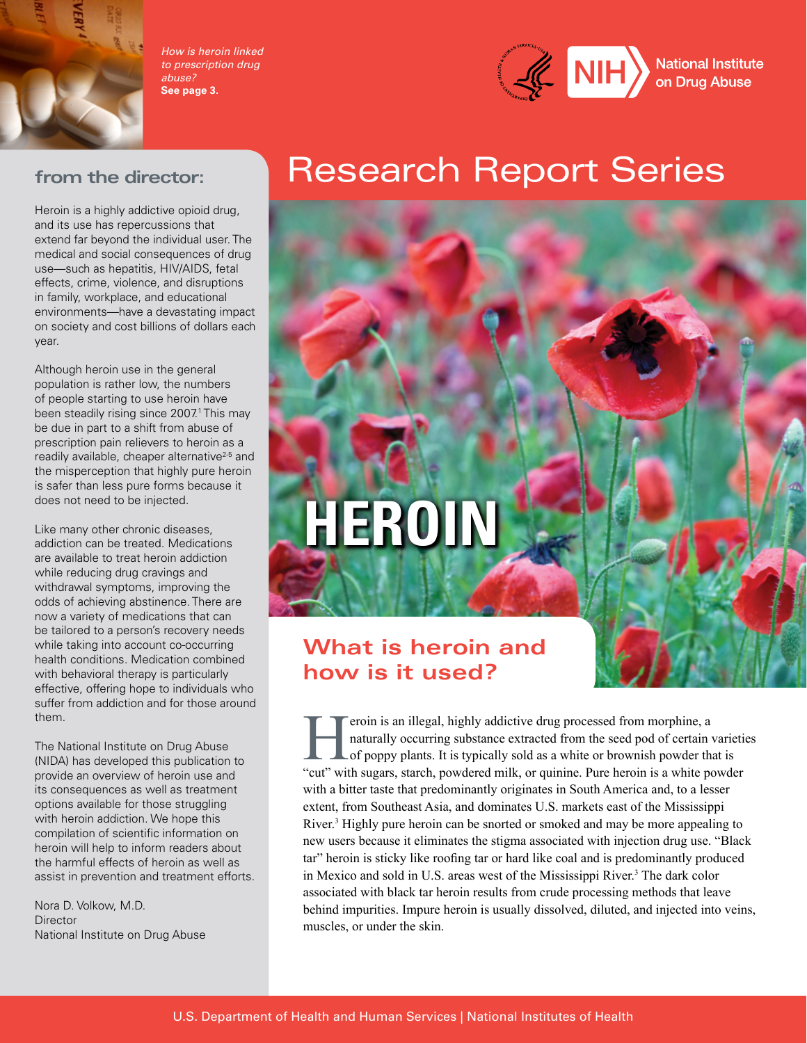

*How is heroin linked to prescription drug abuse?*  **See page 3.**



#### **from the director:**

Heroin is a highly addictive opioid drug, and its use has repercussions that extend far beyond the individual user. The medical and social consequences of drug use—such as hepatitis, HIV/AIDS, fetal effects, crime, violence, and disruptions in family, workplace, and educational environments—have a devastating impact on society and cost billions of dollars each year.

Although heroin use in the general population is rather low, the numbers of people starting to use heroin have been steadily rising since 2007.<sup>1</sup> This may be due in part to a shift from abuse of prescription pain relievers to heroin as a readily available, cheaper alternative<sup>2-5</sup> and the misperception that highly pure heroin is safer than less pure forms because it does not need to be injected.

Like many other chronic diseases, addiction can be treated. Medications are available to treat heroin addiction while reducing drug cravings and withdrawal symptoms, improving the odds of achieving abstinence. There are now a variety of medications that can be tailored to a person's recovery needs while taking into account co-occurring health conditions. Medication combined with behavioral therapy is particularly effective, offering hope to individuals who suffer from addiction and for those around them.

The National Institute on Drug Abuse (NIDA) has developed this publication to provide an overview of heroin use and its consequences as well as treatment options available for those struggling with heroin addiction. We hope this compilation of scientific information on heroin will help to inform readers about the harmful effects of heroin as well as assist in prevention and treatment efforts.

Nora D. Volkow, M.D. **Director** National Institute on Drug Abuse

# Research Report Series

## **What is heroin and how is it used?**

**HEROIN** 

Feroin is an illegal, highly addictive drug processed from morphine, a<br>naturally occurring substance extracted from the seed pod of certain v<br>of poppy plants. It is typically sold as a white or brownish powder the<br>"cut" wi naturally occurring substance extracted from the seed pod of certain varieties of poppy plants. It is typically sold as a white or brownish powder that is "cut" with sugars, starch, powdered milk, or quinine. Pure heroin is a white powder with a bitter taste that predominantly originates in South America and, to a lesser extent, from Southeast Asia, and dominates U.S. markets east of the Mississippi River.<sup>3</sup> Highly pure heroin can be snorted or smoked and may be more appealing to new users because it eliminates the stigma associated with injection drug use. "Black tar" heroin is sticky like roofing tar or hard like coal and is predominantly produced in Mexico and sold in U.S. areas west of the Mississippi River.<sup>3</sup> The dark color associated with black tar heroin results from crude processing methods that leave behind impurities. Impure heroin is usually dissolved, diluted, and injected into veins, muscles, or under the skin.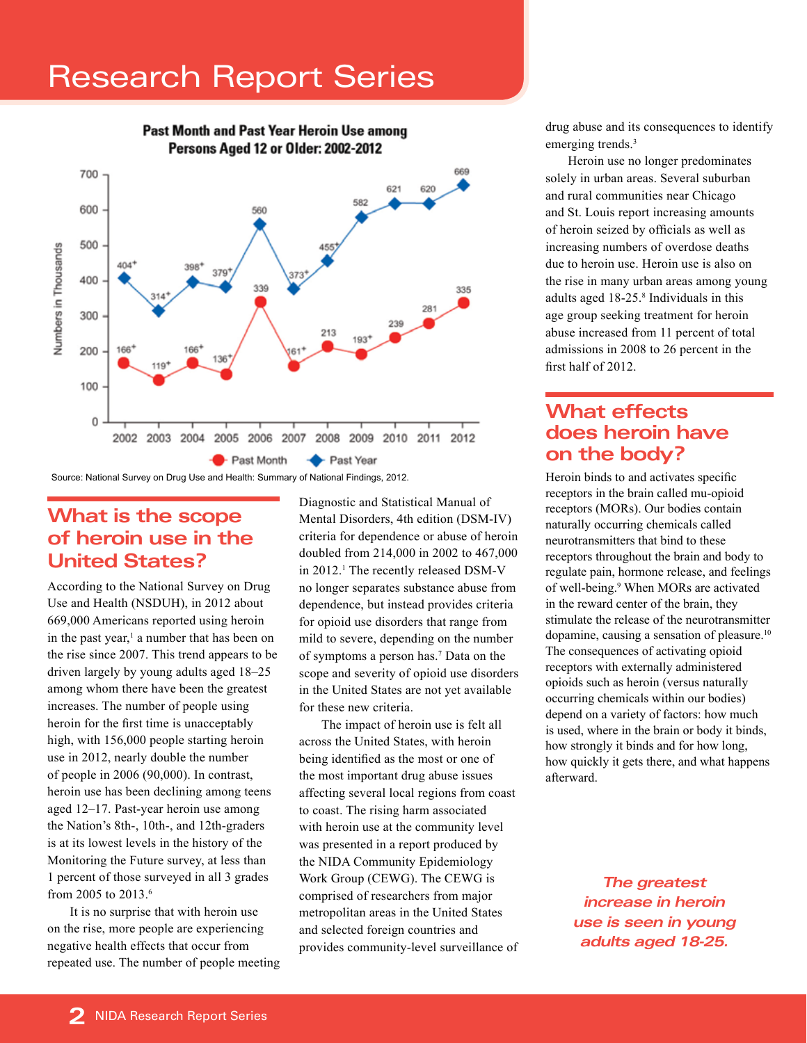## Research Report Series



## **What is the scope of heroin use in the United States?**

According to the National Survey on Drug Use and Health (NSDUH), in 2012 about 669,000 Americans reported using heroin in the past year, $\frac{1}{2}$  a number that has been on the rise since 2007. This trend appears to be driven largely by young adults aged 18–25 among whom there have been the greatest increases. The number of people using heroin for the first time is unacceptably high, with 156,000 people starting heroin use in 2012, nearly double the number of people in 2006 (90,000). In contrast, heroin use has been declining among teens aged 12–17. Past-year heroin use among the Nation's 8th-, 10th-, and 12th-graders is at its lowest levels in the history of the Monitoring the Future survey, at less than 1 percent of those surveyed in all 3 grades from 2005 to 2013.6

It is no surprise that with heroin use on the rise, more people are experiencing negative health effects that occur from repeated use. The number of people meeting Diagnostic and Statistical Manual of Mental Disorders, 4th edition (DSM-IV) criteria for dependence or abuse of heroin doubled from 214,000 in 2002 to 467,000 in 2012.<sup>1</sup> The recently released DSM-V no longer separates substance abuse from dependence, but instead provides criteria for opioid use disorders that range from mild to severe, depending on the number of symptoms a person has.7 Data on the scope and severity of opioid use disorders in the United States are not yet available for these new criteria.

The impact of heroin use is felt all across the United States, with heroin being identified as the most or one of the most important drug abuse issues affecting several local regions from coast to coast. The rising harm associated with heroin use at the community level was presented in a report produced by the NIDA Community Epidemiology Work Group (CEWG). The CEWG is comprised of researchers from major metropolitan areas in the United States and selected foreign countries and provides community-level surveillance of drug abuse and its consequences to identify emerging trends.<sup>3</sup>

Heroin use no longer predominates solely in urban areas. Several suburban and rural communities near Chicago and St. Louis report increasing amounts of heroin seized by officials as well as increasing numbers of overdose deaths due to heroin use. Heroin use is also on the rise in many urban areas among young adults aged 18-25.8 Individuals in this age group seeking treatment for heroin abuse increased from 11 percent of total admissions in 2008 to 26 percent in the first half of 2012.

## **What effects does heroin have on the body?**

Heroin binds to and activates specific receptors in the brain called mu-opioid receptors (MORs). Our bodies contain naturally occurring chemicals called neurotransmitters that bind to these receptors throughout the brain and body to regulate pain, hormone release, and feelings of well-being.<sup>9</sup> When MORs are activated in the reward center of the brain, they stimulate the release of the neurotransmitter dopamine, causing a sensation of pleasure.<sup>10</sup> The consequences of activating opioid receptors with externally administered opioids such as heroin (versus naturally occurring chemicals within our bodies) depend on a variety of factors: how much is used, where in the brain or body it binds, how strongly it binds and for how long, how quickly it gets there, and what happens afterward.

> *The greatest increase in heroin use is seen in young adults aged 18-25.*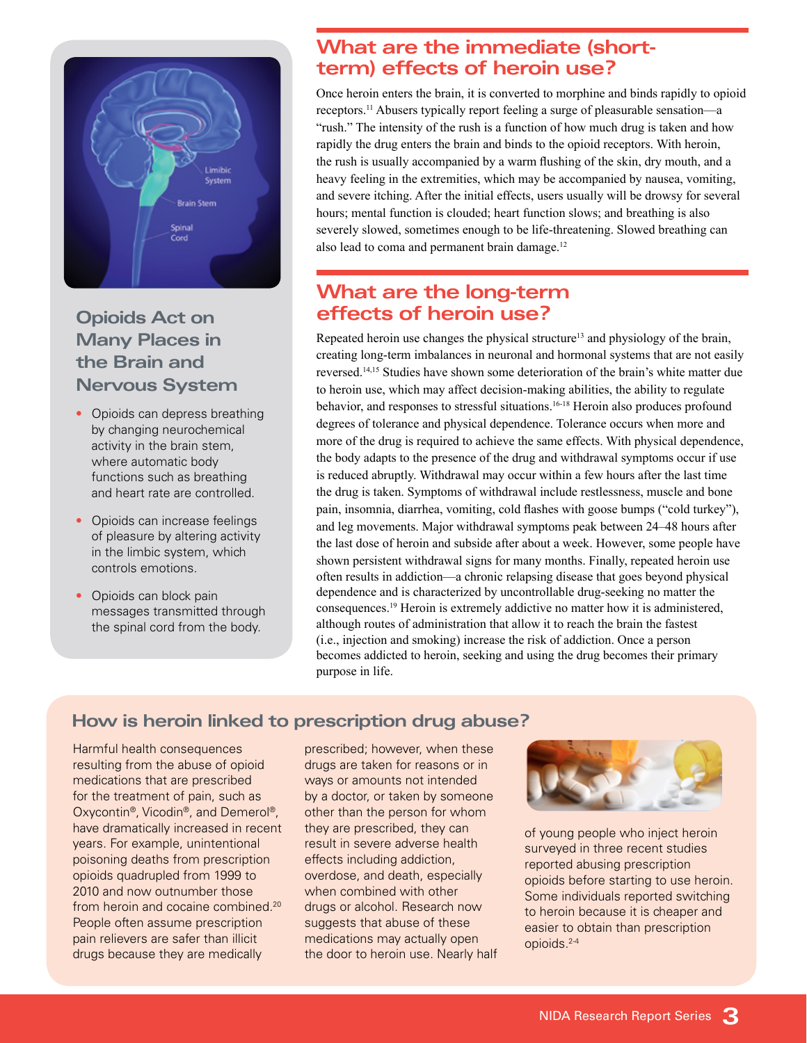

## **Opioids Act on Many Places in the Brain and Nervous System**

- Opioids can depress breathing by changing neurochemical activity in the brain stem, where automatic body functions such as breathing and heart rate are controlled.
- Opioids can increase feelings of pleasure by altering activity in the limbic system, which controls emotions.
- Opioids can block pain messages transmitted through the spinal cord from the body.

### **What are the immediate (shortterm) effects of heroin use?**

Once heroin enters the brain, it is converted to morphine and binds rapidly to opioid receptors.11 Abusers typically report feeling a surge of pleasurable sensation—a "rush." The intensity of the rush is a function of how much drug is taken and how rapidly the drug enters the brain and binds to the opioid receptors. With heroin, the rush is usually accompanied by a warm flushing of the skin, dry mouth, and a heavy feeling in the extremities, which may be accompanied by nausea, vomiting, and severe itching. After the initial effects, users usually will be drowsy for several hours; mental function is clouded; heart function slows; and breathing is also severely slowed, sometimes enough to be life-threatening. Slowed breathing can also lead to coma and permanent brain damage.12

#### **What are the long-term effects of heroin use?**

Repeated heroin use changes the physical structure<sup>13</sup> and physiology of the brain, creating long-term imbalances in neuronal and hormonal systems that are not easily reversed.14,15 Studies have shown some deterioration of the brain's white matter due to heroin use, which may affect decision-making abilities, the ability to regulate behavior, and responses to stressful situations.16-18 Heroin also produces profound degrees of tolerance and physical dependence. Tolerance occurs when more and more of the drug is required to achieve the same effects. With physical dependence, the body adapts to the presence of the drug and withdrawal symptoms occur if use is reduced abruptly. Withdrawal may occur within a few hours after the last time the drug is taken. Symptoms of withdrawal include restlessness, muscle and bone pain, insomnia, diarrhea, vomiting, cold flashes with goose bumps ("cold turkey"), and leg movements. Major withdrawal symptoms peak between 24–48 hours after the last dose of heroin and subside after about a week. However, some people have shown persistent withdrawal signs for many months. Finally, repeated heroin use often results in addiction—a chronic relapsing disease that goes beyond physical dependence and is characterized by uncontrollable drug-seeking no matter the consequences.19 Heroin is extremely addictive no matter how it is administered, although routes of administration that allow it to reach the brain the fastest (i.e., injection and smoking) increase the risk of addiction. Once a person becomes addicted to heroin, seeking and using the drug becomes their primary purpose in life.

#### **How is heroin linked to prescription drug abuse?**

Harmful health consequences resulting from the abuse of opioid medications that are prescribed for the treatment of pain, such as Oxycontin®, Vicodin®, and Demerol®, have dramatically increased in recent years. For example, unintentional poisoning deaths from prescription opioids quadrupled from 1999 to 2010 and now outnumber those from heroin and cocaine combined.<sup>20</sup> People often assume prescription pain relievers are safer than illicit drugs because they are medically

prescribed; however, when these drugs are taken for reasons or in ways or amounts not intended by a doctor, or taken by someone other than the person for whom they are prescribed, they can result in severe adverse health effects including addiction, overdose, and death, especially when combined with other drugs or alcohol. Research now suggests that abuse of these medications may actually open the door to heroin use. Nearly half



of young people who inject heroin surveyed in three recent studies reported abusing prescription opioids before starting to use heroin. Some individuals reported switching to heroin because it is cheaper and easier to obtain than prescription opioids.2-4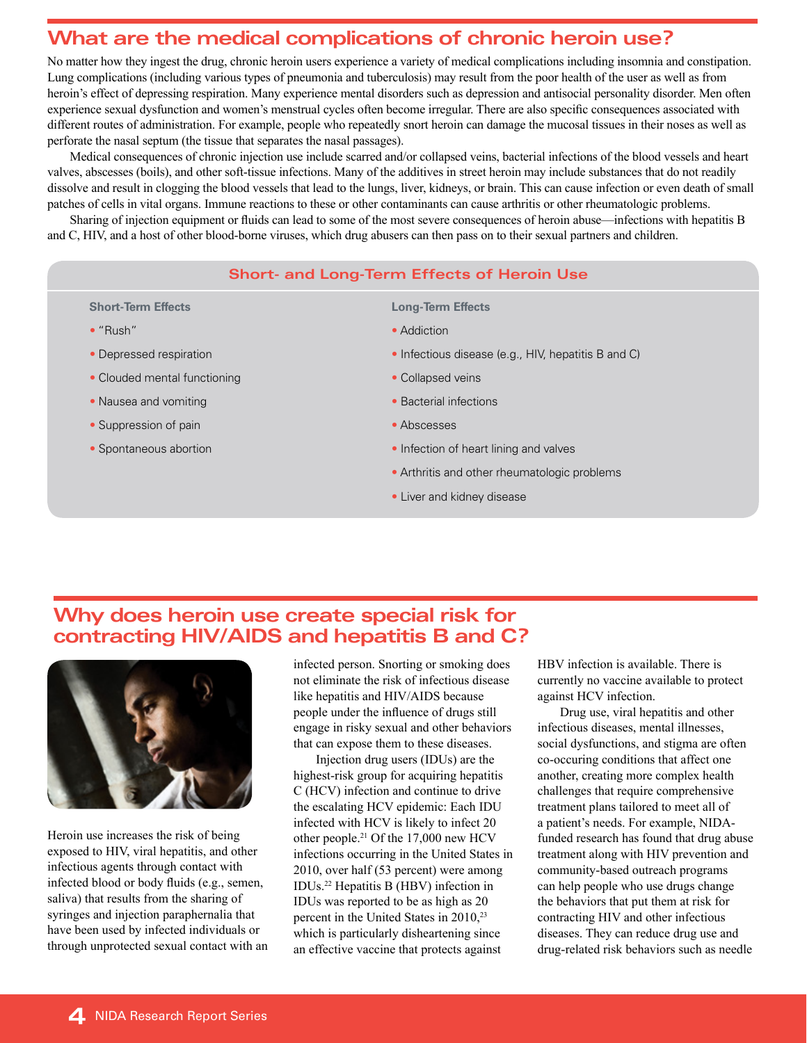#### **What are the medical complications of chronic heroin use?**

No matter how they ingest the drug, chronic heroin users experience a variety of medical complications including insomnia and constipation. Lung complications (including various types of pneumonia and tuberculosis) may result from the poor health of the user as well as from heroin's effect of depressing respiration. Many experience mental disorders such as depression and antisocial personality disorder. Men often experience sexual dysfunction and women's menstrual cycles often become irregular. There are also specific consequences associated with different routes of administration. For example, people who repeatedly snort heroin can damage the mucosal tissues in their noses as well as perforate the nasal septum (the tissue that separates the nasal passages).

Medical consequences of chronic injection use include scarred and/or collapsed veins, bacterial infections of the blood vessels and heart valves, abscesses (boils), and other soft-tissue infections. Many of the additives in street heroin may include substances that do not readily dissolve and result in clogging the blood vessels that lead to the lungs, liver, kidneys, or brain. This can cause infection or even death of small patches of cells in vital organs. Immune reactions to these or other contaminants can cause arthritis or other rheumatologic problems.

Sharing of injection equipment or fluids can lead to some of the most severe consequences of heroin abuse—infections with hepatitis B and C, HIV, and a host of other blood-borne viruses, which drug abusers can then pass on to their sexual partners and children.

#### **Short- and Long-Term Effects of Heroin Use**

**Short-Term Effects Long-Term Effects**

- "Rush"
- Depressed respiration
- Clouded mental functioning
- Nausea and vomiting
- Suppression of pain
- Spontaneous abortion

- Addiction
- Infectious disease (e.g., HIV, hepatitis B and C)
- Collapsed veins
- Bacterial infections
- Abscesses
- Infection of heart lining and valves
- Arthritis and other rheumatologic problems
- Liver and kidney disease

#### **Why does heroin use create special risk for contracting HIV/AIDS and hepatitis B and C?**



Heroin use increases the risk of being exposed to HIV, viral hepatitis, and other infectious agents through contact with infected blood or body fluids (e.g., semen, saliva) that results from the sharing of syringes and injection paraphernalia that have been used by infected individuals or through unprotected sexual contact with an infected person. Snorting or smoking does not eliminate the risk of infectious disease like hepatitis and HIV/AIDS because people under the influence of drugs still engage in risky sexual and other behaviors that can expose them to these diseases.

Injection drug users (IDUs) are the highest-risk group for acquiring hepatitis C (HCV) infection and continue to drive the escalating HCV epidemic: Each IDU infected with HCV is likely to infect 20 other people.21 Of the 17,000 new HCV infections occurring in the United States in 2010, over half (53 percent) were among IDUs.22 Hepatitis B (HBV) infection in IDUs was reported to be as high as 20 percent in the United States in 2010,23 which is particularly disheartening since an effective vaccine that protects against

HBV infection is available. There is currently no vaccine available to protect against HCV infection.

Drug use, viral hepatitis and other infectious diseases, mental illnesses, social dysfunctions, and stigma are often co-occuring conditions that affect one another, creating more complex health challenges that require comprehensive treatment plans tailored to meet all of a patient's needs. For example, NIDAfunded research has found that drug abuse treatment along with HIV prevention and community-based outreach programs can help people who use drugs change the behaviors that put them at risk for contracting HIV and other infectious diseases. They can reduce drug use and drug-related risk behaviors such as needle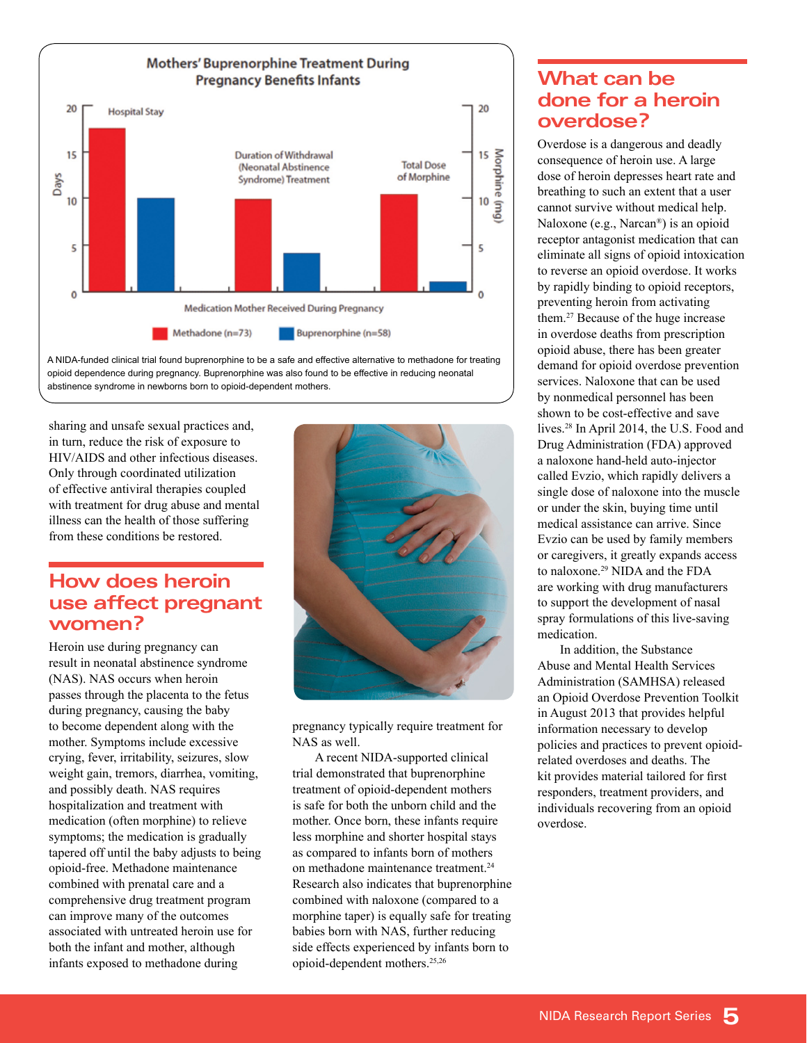

A NIDA-funded clinical trial found buprenorphine to be a safe and effective alternative to methadone for treating opioid dependence during pregnancy. Buprenorphine was also found to be effective in reducing neonatal abstinence syndrome in newborns born to opioid-dependent mothers.

sharing and unsafe sexual practices and, in turn, reduce the risk of exposure to HIV/AIDS and other infectious diseases. Only through coordinated utilization of effective antiviral therapies coupled with treatment for drug abuse and mental illness can the health of those suffering from these conditions be restored.

#### **How does heroin use affect pregnant women?**

Heroin use during pregnancy can result in neonatal abstinence syndrome (NAS). NAS occurs when heroin passes through the placenta to the fetus during pregnancy, causing the baby to become dependent along with the mother. Symptoms include excessive crying, fever, irritability, seizures, slow weight gain, tremors, diarrhea, vomiting, and possibly death. NAS requires hospitalization and treatment with medication (often morphine) to relieve symptoms; the medication is gradually tapered off until the baby adjusts to being opioid-free. Methadone maintenance combined with prenatal care and a comprehensive drug treatment program can improve many of the outcomes associated with untreated heroin use for both the infant and mother, although infants exposed to methadone during



pregnancy typically require treatment for NAS as well.

A recent NIDA-supported clinical trial demonstrated that buprenorphine treatment of opioid-dependent mothers is safe for both the unborn child and the mother. Once born, these infants require less morphine and shorter hospital stays as compared to infants born of mothers on methadone maintenance treatment.<sup>24</sup> Research also indicates that buprenorphine combined with naloxone (compared to a morphine taper) is equally safe for treating babies born with NAS, further reducing side effects experienced by infants born to opioid-dependent mothers.25,26

#### **What can be done for a heroin overdose?**

Overdose is a dangerous and deadly consequence of heroin use. A large dose of heroin depresses heart rate and breathing to such an extent that a user cannot survive without medical help. Naloxone (e.g., Narcan®) is an opioid receptor antagonist medication that can eliminate all signs of opioid intoxication to reverse an opioid overdose. It works by rapidly binding to opioid receptors, preventing heroin from activating them.27 Because of the huge increase in overdose deaths from prescription opioid abuse, there has been greater demand for opioid overdose prevention services. Naloxone that can be used by nonmedical personnel has been shown to be cost-effective and save lives.28 In April 2014, the U.S. Food and Drug Administration (FDA) approved a naloxone hand-held auto-injector called Evzio, which rapidly delivers a single dose of naloxone into the muscle or under the skin, buying time until medical assistance can arrive. Since Evzio can be used by family members or caregivers, it greatly expands access to naloxone.<sup>29</sup> NIDA and the FDA are working with drug manufacturers to support the development of nasal spray formulations of this live-saving medication.

In addition, the Substance Abuse and Mental Health Services Administration (SAMHSA) released an Opioid Overdose Prevention Toolkit in August 2013 that provides helpful information necessary to develop policies and practices to prevent opioidrelated overdoses and deaths. The kit provides material tailored for first responders, treatment providers, and individuals recovering from an opioid overdose.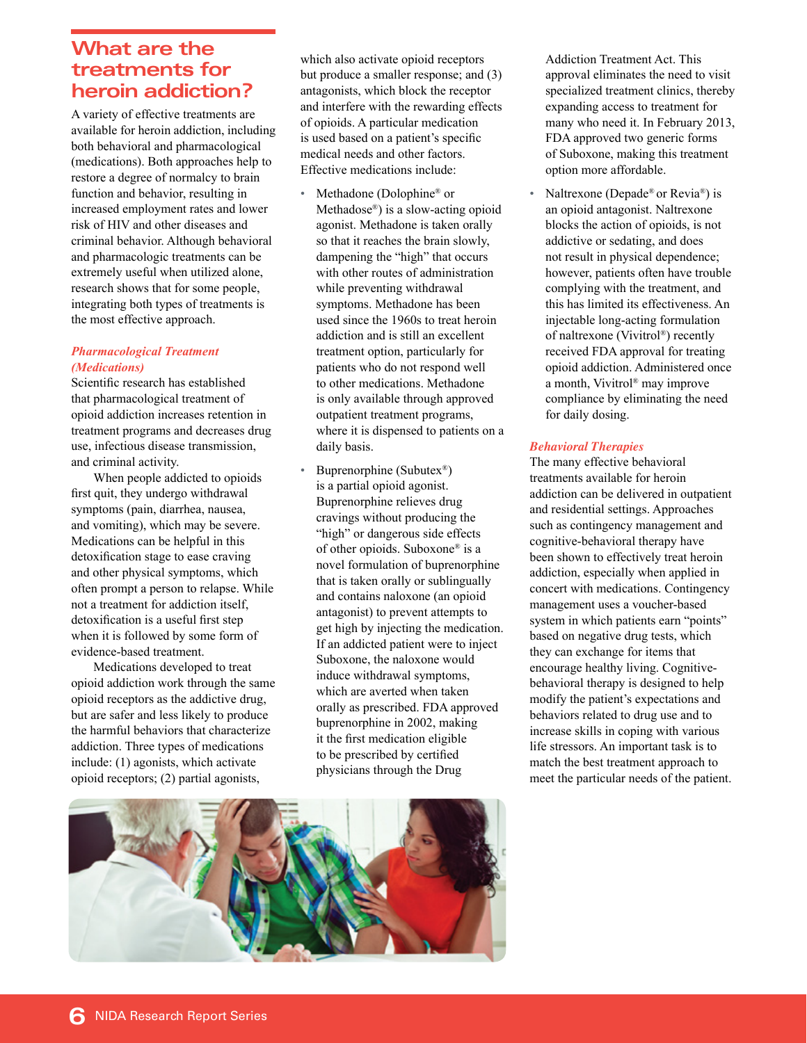#### **What are the treatments for heroin addiction?**

A variety of effective treatments are available for heroin addiction, including both behavioral and pharmacological (medications). Both approaches help to restore a degree of normalcy to brain function and behavior, resulting in increased employment rates and lower risk of HIV and other diseases and criminal behavior. Although behavioral and pharmacologic treatments can be extremely useful when utilized alone, research shows that for some people, integrating both types of treatments is the most effective approach.

#### *Pharmacological Treatment (Medications)*

Scientific research has established that pharmacological treatment of opioid addiction increases retention in treatment programs and decreases drug use, infectious disease transmission, and criminal activity.

When people addicted to opioids first quit, they undergo withdrawal symptoms (pain, diarrhea, nausea, and vomiting), which may be severe. Medications can be helpful in this detoxification stage to ease craving and other physical symptoms, which often prompt a person to relapse. While not a treatment for addiction itself, detoxification is a useful first step when it is followed by some form of evidence-based treatment.

Medications developed to treat opioid addiction work through the same opioid receptors as the addictive drug, but are safer and less likely to produce the harmful behaviors that characterize addiction. Three types of medications include: (1) agonists, which activate opioid receptors; (2) partial agonists,

which also activate opioid receptors but produce a smaller response; and (3) antagonists, which block the receptor and interfere with the rewarding effects of opioids. A particular medication is used based on a patient's specific medical needs and other factors. Effective medications include:

- Methadone (Dolophine® or Methadose®) is a slow-acting opioid agonist. Methadone is taken orally so that it reaches the brain slowly, dampening the "high" that occurs with other routes of administration while preventing withdrawal symptoms. Methadone has been used since the 1960s to treat heroin addiction and is still an excellent treatment option, particularly for patients who do not respond well to other medications. Methadone is only available through approved outpatient treatment programs, where it is dispensed to patients on a daily basis.
- Buprenorphine (Subutex®) is a partial opioid agonist. Buprenorphine relieves drug cravings without producing the "high" or dangerous side effects of other opioids. Suboxone® is a novel formulation of buprenorphine that is taken orally or sublingually and contains naloxone (an opioid antagonist) to prevent attempts to get high by injecting the medication. If an addicted patient were to inject Suboxone, the naloxone would induce withdrawal symptoms, which are averted when taken orally as prescribed. FDA approved buprenorphine in 2002, making it the first medication eligible to be prescribed by certified physicians through the Drug

Addiction Treatment Act. This approval eliminates the need to visit specialized treatment clinics, thereby expanding access to treatment for many who need it. In February 2013, FDA approved two generic forms of Suboxone, making this treatment option more affordable.

• Naltrexone (Depade® or Revia®) is an opioid antagonist. Naltrexone blocks the action of opioids, is not addictive or sedating, and does not result in physical dependence; however, patients often have trouble complying with the treatment, and this has limited its effectiveness. An injectable long-acting formulation of naltrexone (Vivitrol®) recently received FDA approval for treating opioid addiction. Administered once a month, Vivitrol® may improve compliance by eliminating the need for daily dosing.

#### *Behavioral Therapies*

The many effective behavioral treatments available for heroin addiction can be delivered in outpatient and residential settings. Approaches such as contingency management and cognitive-behavioral therapy have been shown to effectively treat heroin addiction, especially when applied in concert with medications. Contingency management uses a voucher-based system in which patients earn "points" based on negative drug tests, which they can exchange for items that encourage healthy living. Cognitivebehavioral therapy is designed to help modify the patient's expectations and behaviors related to drug use and to increase skills in coping with various life stressors. An important task is to match the best treatment approach to meet the particular needs of the patient.

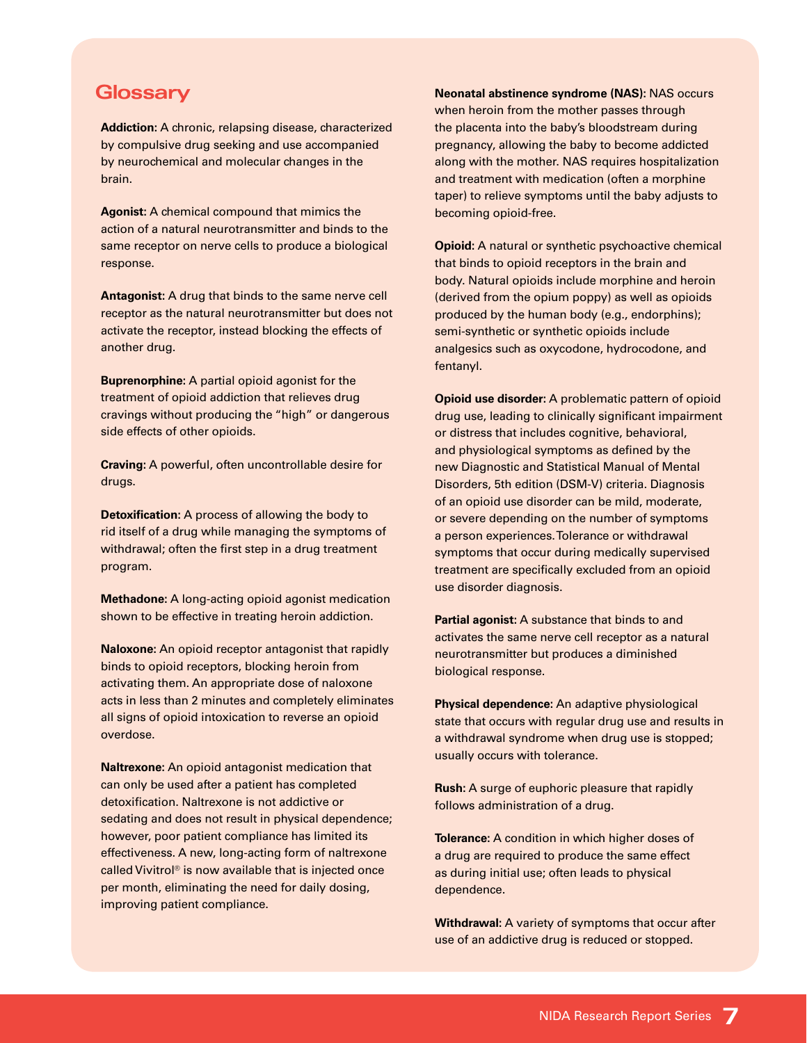## **Glossary**

**Addiction:** A chronic, relapsing disease, characterized by compulsive drug seeking and use accompanied by neurochemical and molecular changes in the brain.

**Agonist:** A chemical compound that mimics the action of a natural neurotransmitter and binds to the same receptor on nerve cells to produce a biological response.

**Antagonist:** A drug that binds to the same nerve cell receptor as the natural neurotransmitter but does not activate the receptor, instead blocking the effects of another drug.

**Buprenorphine:** A partial opioid agonist for the treatment of opioid addiction that relieves drug cravings without producing the "high" or dangerous side effects of other opioids.

**Craving:** A powerful, often uncontrollable desire for drugs.

**Detoxification:** A process of allowing the body to rid itself of a drug while managing the symptoms of withdrawal; often the first step in a drug treatment program.

**Methadone:** A long-acting opioid agonist medication shown to be effective in treating heroin addiction.

**Naloxone:** An opioid receptor antagonist that rapidly binds to opioid receptors, blocking heroin from activating them. An appropriate dose of naloxone acts in less than 2 minutes and completely eliminates all signs of opioid intoxication to reverse an opioid overdose.

**Naltrexone:** An opioid antagonist medication that can only be used after a patient has completed detoxification. Naltrexone is not addictive or sedating and does not result in physical dependence; however, poor patient compliance has limited its effectiveness. A new, long-acting form of naltrexone called Vivitrol® is now available that is injected once per month, eliminating the need for daily dosing, improving patient compliance.

**Neonatal abstinence syndrome (NAS):** NAS occurs when heroin from the mother passes through the placenta into the baby's bloodstream during pregnancy, allowing the baby to become addicted along with the mother. NAS requires hospitalization and treatment with medication (often a morphine taper) to relieve symptoms until the baby adjusts to becoming opioid-free.

**Opioid:** A natural or synthetic psychoactive chemical that binds to opioid receptors in the brain and body. Natural opioids include morphine and heroin (derived from the opium poppy) as well as opioids produced by the human body (e.g., endorphins); semi-synthetic or synthetic opioids include analgesics such as oxycodone, hydrocodone, and fentanyl.

**Opioid use disorder:** A problematic pattern of opioid drug use, leading to clinically significant impairment or distress that includes cognitive, behavioral, and physiological symptoms as defined by the new Diagnostic and Statistical Manual of Mental Disorders, 5th edition (DSM-V) criteria. Diagnosis of an opioid use disorder can be mild, moderate, or severe depending on the number of symptoms a person experiences. Tolerance or withdrawal symptoms that occur during medically supervised treatment are specifically excluded from an opioid use disorder diagnosis.

**Partial agonist:** A substance that binds to and activates the same nerve cell receptor as a natural neurotransmitter but produces a diminished biological response.

**Physical dependence:** An adaptive physiological state that occurs with regular drug use and results in a withdrawal syndrome when drug use is stopped; usually occurs with tolerance.

**Rush:** A surge of euphoric pleasure that rapidly follows administration of a drug.

**Tolerance:** A condition in which higher doses of a drug are required to produce the same effect as during initial use; often leads to physical dependence.

**Withdrawal:** A variety of symptoms that occur after use of an addictive drug is reduced or stopped.